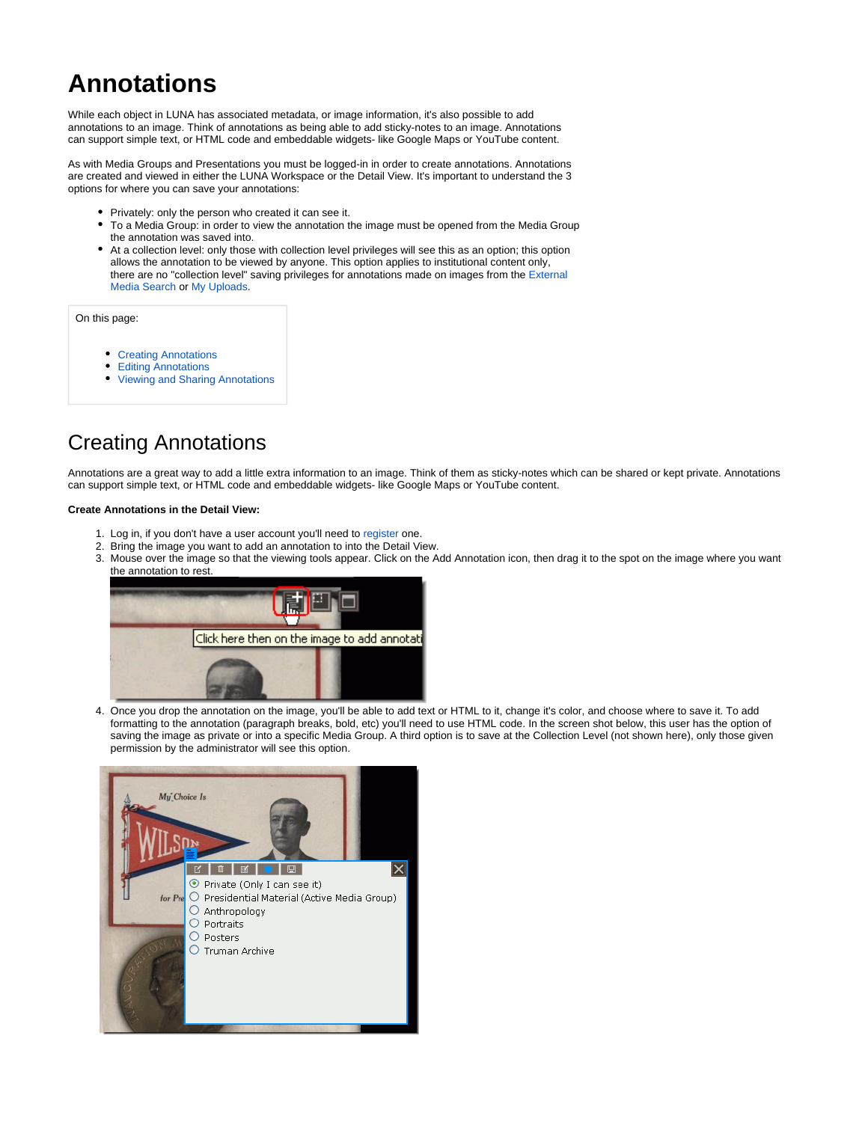# **Annotations**

While each object in LUNA has associated metadata, or image information, it's also possible to add annotations to an image. Think of annotations as being able to add sticky-notes to an image. Annotations can support simple text, or HTML code and embeddable widgets- like Google Maps or YouTube content.

As with Media Groups and Presentations you must be logged-in in order to create annotations. Annotations are created and viewed in either the LUNA Workspace or the Detail View. It's important to understand the 3 options for where you can save your annotations:

- Privately: only the person who created it can see it.
- $\bullet$ To a Media Group: in order to view the annotation the image must be opened from the Media Group the annotation was saved into.
- At a collection level: only those with collection level privileges will see this as an option; this option allows the annotation to be viewed by anyone. This option applies to institutional content only, there are no "collection level" saving privileges for annotations made on images from the [External](https://doc.lunaimaging.com/display/V71D/External+Media+Search)  [Media Search](https://doc.lunaimaging.com/display/V71D/External+Media+Search) or [My Uploads.](https://doc.lunaimaging.com/display/V71D/My+Uploads)

On this page:

- [Creating Annotations](#page-0-0)
- [Editing Annotations](#page-1-0)
- [Viewing and Sharing Annotations](#page-2-0)

## <span id="page-0-0"></span>Creating Annotations

Annotations are a great way to add a little extra information to an image. Think of them as sticky-notes which can be shared or kept private. Annotations can support simple text, or HTML code and embeddable widgets- like Google Maps or YouTube content.

#### **Create Annotations in the Detail View:**

- 1. Log in, if you don't have a user account you'll need to [register o](https://doc.lunaimaging.com/display/V71D/Registration+and+User+Settings)ne.
- 2. Bring the image you want to add an annotation to into the Detail View.
- 3. Mouse over the image so that the viewing tools appear. Click on the Add Annotation icon, then drag it to the spot on the image where you want the annotation to rest.



4. Once you drop the annotation on the image, you'll be able to add text or HTML to it, change it's color, and choose where to save it. To add formatting to the annotation (paragraph breaks, bold, etc) you'll need to use HTML code. In the screen shot below, this user has the option of saving the image as private or into a specific Media Group. A third option is to save at the Collection Level (not shown here), only those given permission by the administrator will see this option.

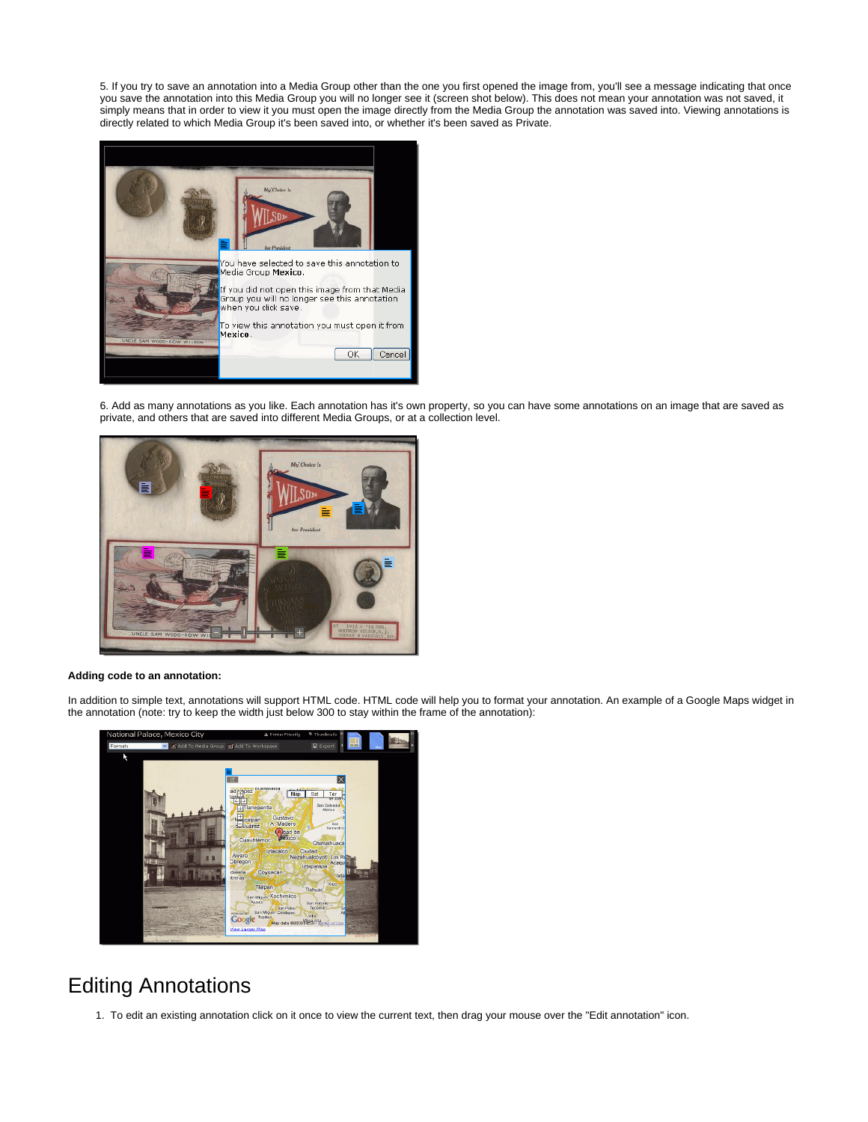5. If you try to save an annotation into a Media Group other than the one you first opened the image from, you'll see a message indicating that once you save the annotation into this Media Group you will no longer see it (screen shot below). This does not mean your annotation was not saved, it simply means that in order to view it you must open the image directly from the Media Group the annotation was saved into. Viewing annotations is directly related to which Media Group it's been saved into, or whether it's been saved as Private.



6. Add as many annotations as you like. Each annotation has it's own property, so you can have some annotations on an image that are saved as private, and others that are saved into different Media Groups, or at a collection level.



### **Adding code to an annotation:**

In addition to simple text, annotations will support HTML code. HTML code will help you to format your annotation. An example of a Google Maps widget in the annotation (note: try to keep the width just below 300 to stay within the frame of the annotation):



### <span id="page-1-0"></span>Editing Annotations

1. To edit an existing annotation click on it once to view the current text, then drag your mouse over the "Edit annotation" icon.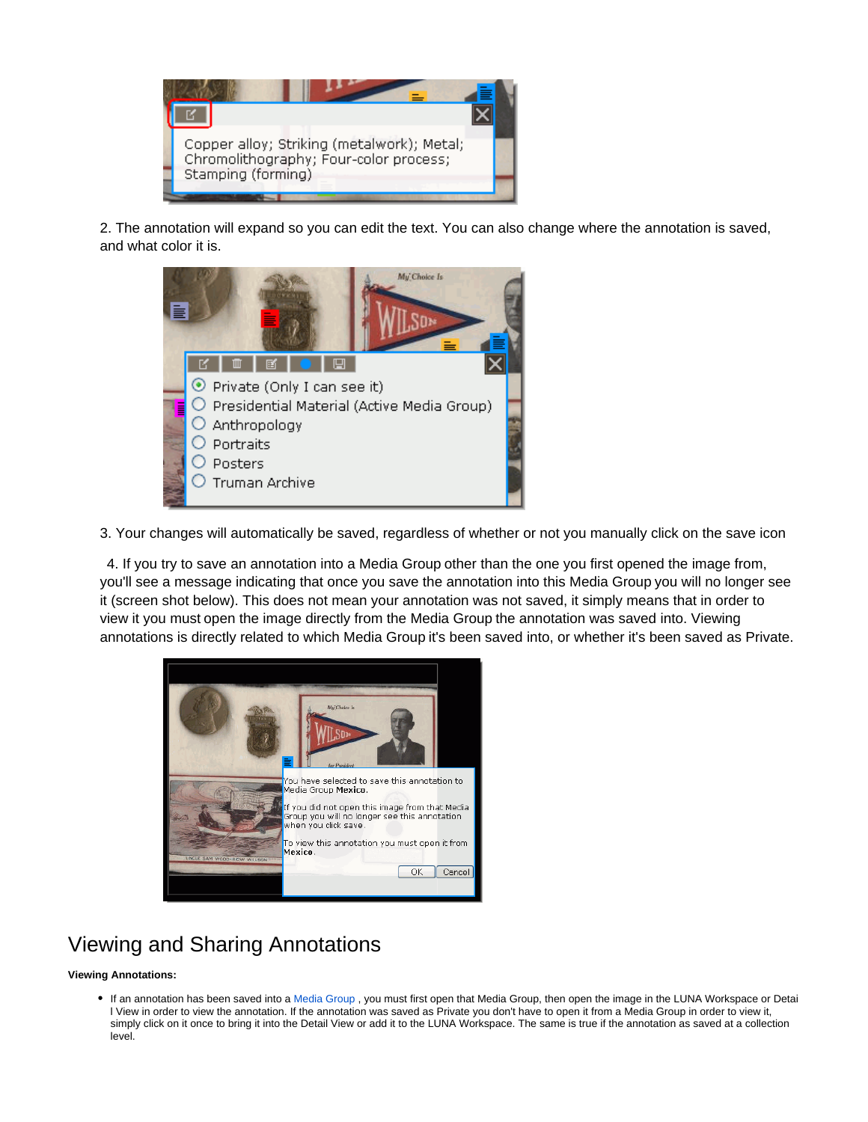

2. The annotation will expand so you can edit the text. You can also change where the annotation is saved, and what color it is.



3. Your changes will automatically be saved, regardless of whether or not you manually click on the save icon

4. If you try to save an annotation into a Media Group other than the one you first opened the image from, you'll see a message indicating that once you save the annotation into this Media Group you will no longer see it (screen shot below). This does not mean your annotation was not saved, it simply means that in order to view it you must open the image directly from the Media Group the annotation was saved into. Viewing annotations is directly related to which Media Group it's been saved into, or whether it's been saved as Private.



## <span id="page-2-0"></span>Viewing and Sharing Annotations

### **Viewing Annotations:**

• If an annotation has been saved into a [Media Group](https://doc.lunaimaging.com/display/V71D/Working+with+Media+Groups), you must first open that Media Group, then open the image in the LUNA Workspace or Detai l View in order to view the annotation. If the annotation was saved as Private you don't have to open it from a Media Group in order to view it, simply click on it once to bring it into the Detail View or add it to the LUNA Workspace. The same is true if the annotation as saved at a collection level.